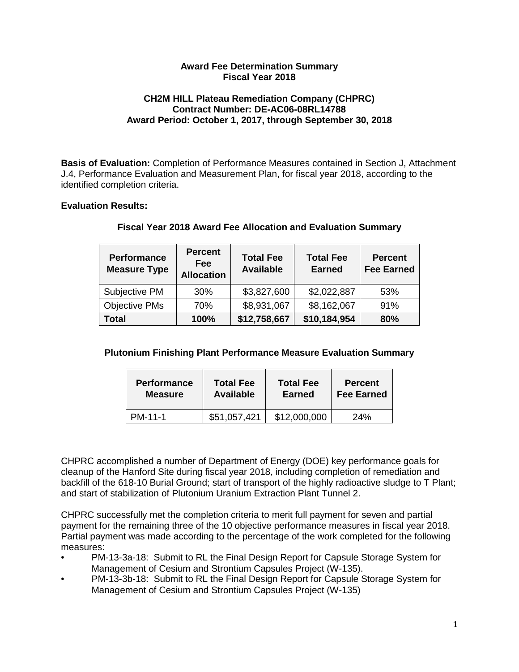### **Award Fee Determination Summary Fiscal Year 2018**

### **CH2M HILL Plateau Remediation Company (CHPRC) Contract Number: DE-AC06-08RL14788 Award Period: October 1, 2017, through September 30, 2018**

**Basis of Evaluation:** Completion of Performance Measures contained in Section J, Attachment J.4, Performance Evaluation and Measurement Plan, for fiscal year 2018, according to the identified completion criteria.

## **Evaluation Results:**

| <b>Performance</b><br><b>Measure Type</b> | <b>Percent</b><br>Fee<br><b>Allocation</b> | <b>Total Fee</b><br><b>Available</b> | <b>Total Fee</b><br><b>Earned</b> | <b>Percent</b><br><b>Fee Earned</b> |
|-------------------------------------------|--------------------------------------------|--------------------------------------|-----------------------------------|-------------------------------------|
| Subjective PM                             | 30%                                        | \$3,827,600                          | \$2,022,887                       | 53%                                 |
| <b>Objective PMs</b>                      | 70%                                        | \$8,931,067                          | \$8,162,067                       | 91%                                 |
| <b>Total</b>                              | 100%                                       | \$12,758,667                         | \$10,184,954                      | 80%                                 |

# **Fiscal Year 2018 Award Fee Allocation and Evaluation Summary**

# **Plutonium Finishing Plant Performance Measure Evaluation Summary**

| <b>Performance</b> | <b>Total Fee</b> | <b>Total Fee</b> | <b>Percent</b>    |
|--------------------|------------------|------------------|-------------------|
| <b>Measure</b>     | <b>Available</b> | <b>Earned</b>    | <b>Fee Earned</b> |
| PM-11-1            | \$51,057,421     | \$12,000,000     | 24%               |

CHPRC accomplished a number of Department of Energy (DOE) key performance goals for cleanup of the Hanford Site during fiscal year 2018, including completion of remediation and backfill of the 618-10 Burial Ground; start of transport of the highly radioactive sludge to T Plant; and start of stabilization of Plutonium Uranium Extraction Plant Tunnel 2.

CHPRC successfully met the completion criteria to merit full payment for seven and partial payment for the remaining three of the 10 objective performance measures in fiscal year 2018. Partial payment was made according to the percentage of the work completed for the following measures:

- PM-13-3a-18: Submit to RL the Final Design Report for Capsule Storage System for Management of Cesium and Strontium Capsules Project (W-135).
- PM-13-3b-18: Submit to RL the Final Design Report for Capsule Storage System for Management of Cesium and Strontium Capsules Project (W-135)